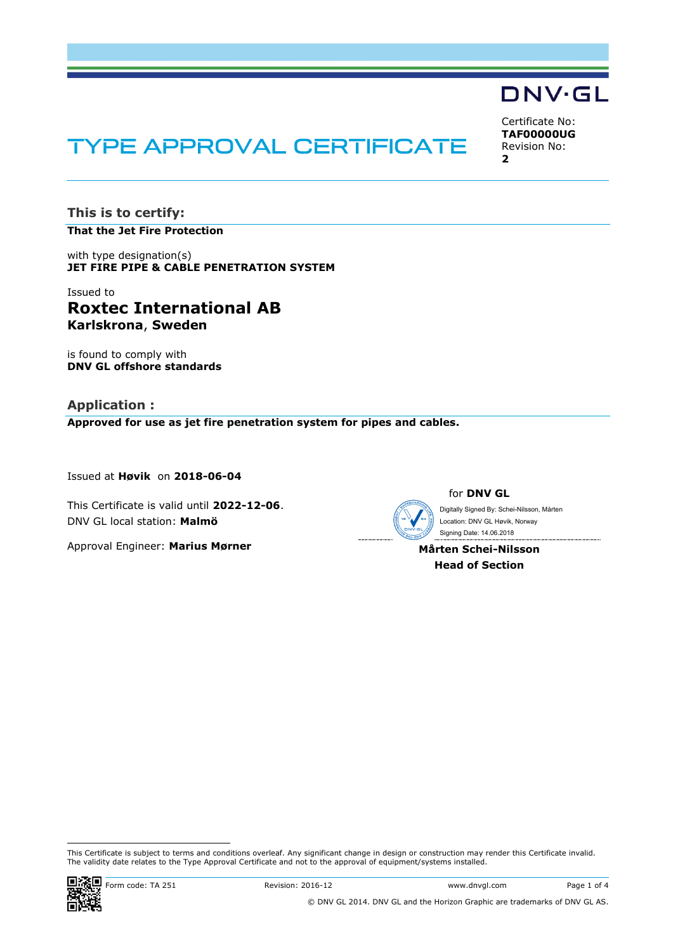# **TYPE APPROVAL CERTIFICATE**

**This is to certify:**

**That the Jet Fire Protection**

with type designation(s) **JET FIRE PIPE & CABLE PENETRATION SYSTEM**

## Issued to **Roxtec International AB Karlskrona**, **Sweden**

is found to comply with **DNV GL offshore standards**

**Application : Approved for use as jet fire penetration system for pipes and cables.**

Issued at **Høvik** on **2018-06-04**

This Certificate is valid until **2022-12-06**. DNV GL local station: **Malmö**

Approval Engineer: **Marius Mørner**



for **DNV GL**

 Signing Date: 14.06.2018 Digitally Signed By: Schei-Nilsson, Mårten Location: DNV GL Høvik, Norway

**Mårten Schei-Nilsson Head of Section**

 This Certificate is subject to terms and conditions overleaf. Any significant change in design or construction may render this Certificate invalid. The validity date relates to the Type Approval Certificate and not to the approval of equipment/systems installed.



Certificate No: **TAF00000UG** Revision No: **2**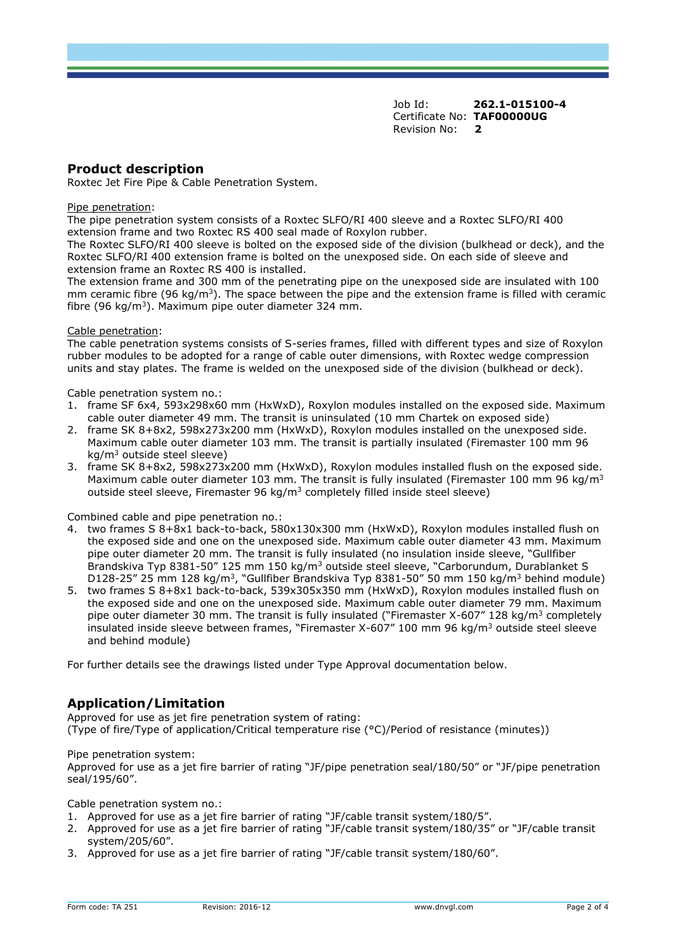Job Id: **262.1-015100-4** Certificate No: **TAF00000UG** Revision No: **2**

### **Product description**

Roxtec Jet Fire Pipe & Cable Penetration System.

#### Pipe penetration:

The pipe penetration system consists of a Roxtec SLFO/RI 400 sleeve and a Roxtec SLFO/RI 400 extension frame and two Roxtec RS 400 seal made of Roxylon rubber.

The Roxtec SLFO/RI 400 sleeve is bolted on the exposed side of the division (bulkhead or deck), and the Roxtec SLFO/RI 400 extension frame is bolted on the unexposed side. On each side of sleeve and extension frame an Roxtec RS 400 is installed.

The extension frame and 300 mm of the penetrating pipe on the unexposed side are insulated with 100 mm ceramic fibre (96 kg/m<sup>3</sup>). The space between the pipe and the extension frame is filled with ceramic fibre (96 kg/m<sup>3</sup>). Maximum pipe outer diameter 324 mm.

#### Cable penetration:

The cable penetration systems consists of S-series frames, filled with different types and size of Roxylon rubber modules to be adopted for a range of cable outer dimensions, with Roxtec wedge compression units and stay plates. The frame is welded on the unexposed side of the division (bulkhead or deck).

#### Cable penetration system no.:

- 1. frame SF 6x4, 593x298x60 mm (HxWxD), Roxylon modules installed on the exposed side. Maximum cable outer diameter 49 mm. The transit is uninsulated (10 mm Chartek on exposed side)
- 2. frame SK 8+8x2, 598x273x200 mm (HxWxD), Roxylon modules installed on the unexposed side. Maximum cable outer diameter 103 mm. The transit is partially insulated (Firemaster 100 mm 96 kg/m<sup>3</sup> outside steel sleeve)
- 3. frame SK 8+8x2, 598x273x200 mm (HxWxD), Roxylon modules installed flush on the exposed side. Maximum cable outer diameter 103 mm. The transit is fully insulated (Firemaster 100 mm 96 kg/m<sup>3</sup> outside steel sleeve, Firemaster 96 kg/m<sup>3</sup> completely filled inside steel sleeve)

#### Combined cable and pipe penetration no.:

- 4. two frames S 8+8x1 back-to-back, 580x130x300 mm (HxWxD), Roxylon modules installed flush on the exposed side and one on the unexposed side. Maximum cable outer diameter 43 mm. Maximum pipe outer diameter 20 mm. The transit is fully insulated (no insulation inside sleeve, "Gullfiber Brandskiva Typ 8381-50" 125 mm 150 kg/m<sup>3</sup> outside steel sleeve, "Carborundum, Durablanket S D128-25" 25 mm 128 kg/m<sup>3</sup>, "Gullfiber Brandskiva Typ 8381-50" 50 mm 150 kg/m<sup>3</sup> behind module)
- 5. two frames S 8+8x1 back-to-back, 539x305x350 mm (HxWxD), Roxylon modules installed flush on the exposed side and one on the unexposed side. Maximum cable outer diameter 79 mm. Maximum pipe outer diameter 30 mm. The transit is fully insulated ("Firemaster X-607" 128 kg/m<sup>3</sup> completely insulated inside sleeve between frames, "Firemaster X-607" 100 mm 96 kg/m<sup>3</sup> outside steel sleeve and behind module)

For further details see the drawings listed under Type Approval documentation below.

## **Application/Limitation**

Approved for use as jet fire penetration system of rating: (Type of fire/Type of application/Critical temperature rise (°C)/Period of resistance (minutes))

#### Pipe penetration system:

Approved for use as a jet fire barrier of rating "JF/pipe penetration seal/180/50" or "JF/pipe penetration seal/195/60".

Cable penetration system no.:

- 1. Approved for use as a jet fire barrier of rating "JF/cable transit system/180/5".
- 2. Approved for use as a jet fire barrier of rating "JF/cable transit system/180/35" or "JF/cable transit system/205/60".
- 3. Approved for use as a jet fire barrier of rating "JF/cable transit system/180/60".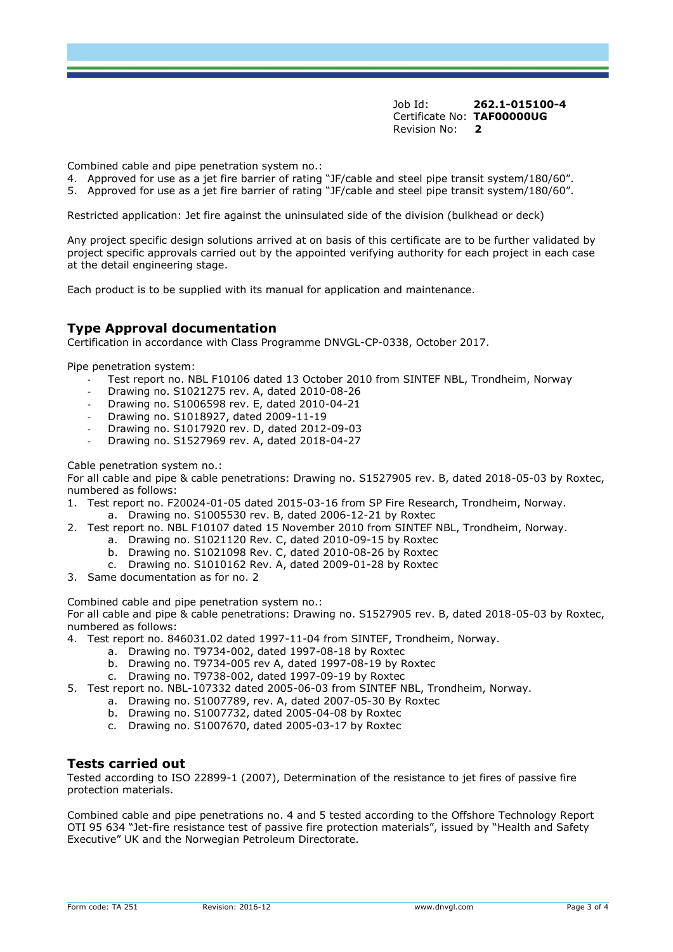Job Id: **262.1-015100-4** Certificate No: **TAF00000UG** Revision No: **2**

Combined cable and pipe penetration system no.:

- 4. Approved for use as a jet fire barrier of rating "JF/cable and steel pipe transit system/180/60".
- 5. Approved for use as a jet fire barrier of rating "JF/cable and steel pipe transit system/180/60".

Restricted application: Jet fire against the uninsulated side of the division (bulkhead or deck)

Any project specific design solutions arrived at on basis of this certificate are to be further validated by project specific approvals carried out by the appointed verifying authority for each project in each case at the detail engineering stage.

Each product is to be supplied with its manual for application and maintenance.

## **Type Approval documentation**

Certification in accordance with Class Programme DNVGL-CP-0338, October 2017.

Pipe penetration system:

- Test report no. NBL F10106 dated 13 October 2010 from SINTEF NBL, Trondheim, Norway
- Drawing no. S1021275 rev. A, dated 2010-08-26
- Drawing no. S1006598 rev. E, dated 2010-04-21
- Drawing no. S1018927, dated 2009-11-19
- Drawing no. S1017920 rev. D, dated 2012-09-03
- Drawing no. S1527969 rev. A, dated 2018-04-27

Cable penetration system no.:

For all cable and pipe & cable penetrations: Drawing no. S1527905 rev. B, dated 2018-05-03 by Roxtec, numbered as follows:

- 1. Test report no. F20024-01-05 dated 2015-03-16 from SP Fire Research, Trondheim, Norway. a. Drawing no. S1005530 rev. B, dated 2006-12-21 by Roxtec
- 2. Test report no. NBL F10107 dated 15 November 2010 from SINTEF NBL, Trondheim, Norway.
	- a. Drawing no. S1021120 Rev. C, dated 2010-09-15 by Roxtec
	- b. Drawing no. S1021098 Rev. C, dated 2010-08-26 by Roxtec
	- c. Drawing no. S1010162 Rev. A, dated 2009-01-28 by Roxtec
- 3. Same documentation as for no. 2

Combined cable and pipe penetration system no.:

For all cable and pipe & cable penetrations: Drawing no. S1527905 rev. B, dated 2018-05-03 by Roxtec, numbered as follows:

4. Test report no. 846031.02 dated 1997-11-04 from SINTEF, Trondheim, Norway.

- a. Drawing no. T9734-002, dated 1997-08-18 by Roxtec
- b. Drawing no. T9734-005 rev A, dated 1997-08-19 by Roxtec
- c. Drawing no. T9738-002, dated 1997-09-19 by Roxtec
- 5. Test report no. NBL-107332 dated 2005-06-03 from SINTEF NBL, Trondheim, Norway.
	- a. Drawing no. S1007789, rev. A, dated 2007-05-30 By Roxtec
	- b. Drawing no. S1007732, dated 2005-04-08 by Roxtec
	- c. Drawing no. S1007670, dated 2005-03-17 by Roxtec

#### **Tests carried out**

Tested according to ISO 22899-1 (2007), Determination of the resistance to jet fires of passive fire protection materials.

Combined cable and pipe penetrations no. 4 and 5 tested according to the Offshore Technology Report OTI 95 634 "Jet-fire resistance test of passive fire protection materials", issued by "Health and Safety Executive" UK and the Norwegian Petroleum Directorate.